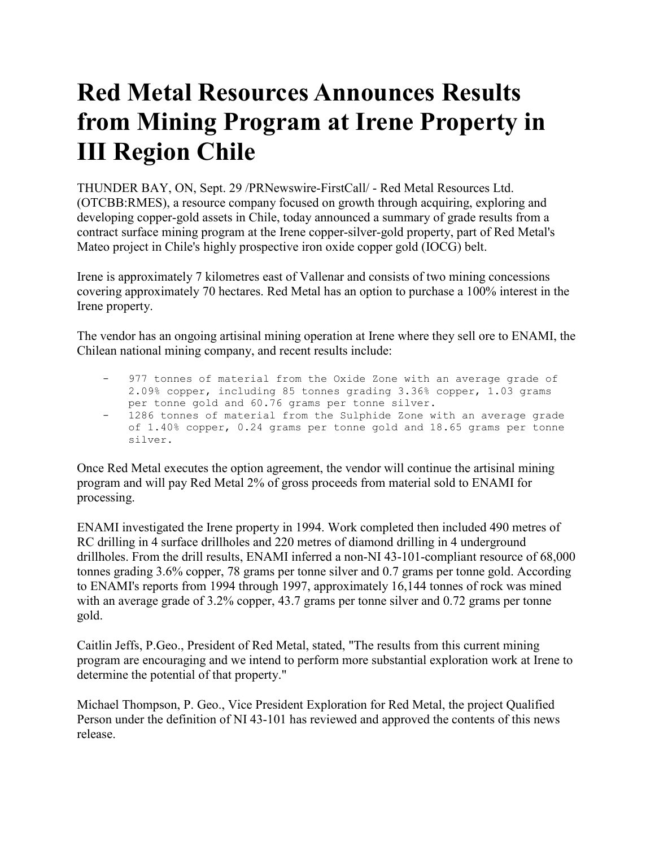## **Red Metal Resources Announces Results from Mining Program at Irene Property in III Region Chile**

THUNDER BAY, ON, Sept. 29 /PRNewswire-FirstCall/ - Red Metal Resources Ltd. (OTCBB:RMES), a resource company focused on growth through acquiring, exploring and developing copper-gold assets in Chile, today announced a summary of grade results from a contract surface mining program at the Irene copper-silver-gold property, part of Red Metal's Mateo project in Chile's highly prospective iron oxide copper gold (IOCG) belt.

Irene is approximately 7 kilometres east of Vallenar and consists of two mining concessions covering approximately 70 hectares. Red Metal has an option to purchase a 100% interest in the Irene property.

The vendor has an ongoing artisinal mining operation at Irene where they sell ore to ENAMI, the Chilean national mining company, and recent results include:

 - 977 tonnes of material from the Oxide Zone with an average grade of 2.09% copper, including 85 tonnes grading 3.36% copper, 1.03 grams per tonne gold and 60.76 grams per tonne silver. - 1286 tonnes of material from the Sulphide Zone with an average grade of 1.40% copper, 0.24 grams per tonne gold and 18.65 grams per tonne silver.

Once Red Metal executes the option agreement, the vendor will continue the artisinal mining program and will pay Red Metal 2% of gross proceeds from material sold to ENAMI for processing.

ENAMI investigated the Irene property in 1994. Work completed then included 490 metres of RC drilling in 4 surface drillholes and 220 metres of diamond drilling in 4 underground drillholes. From the drill results, ENAMI inferred a non-NI 43-101-compliant resource of 68,000 tonnes grading 3.6% copper, 78 grams per tonne silver and 0.7 grams per tonne gold. According to ENAMI's reports from 1994 through 1997, approximately 16,144 tonnes of rock was mined with an average grade of 3.2% copper, 43.7 grams per tonne silver and 0.72 grams per tonne gold.

Caitlin Jeffs, P.Geo., President of Red Metal, stated, "The results from this current mining program are encouraging and we intend to perform more substantial exploration work at Irene to determine the potential of that property."

Michael Thompson, P. Geo., Vice President Exploration for Red Metal, the project Qualified Person under the definition of NI 43-101 has reviewed and approved the contents of this news release.